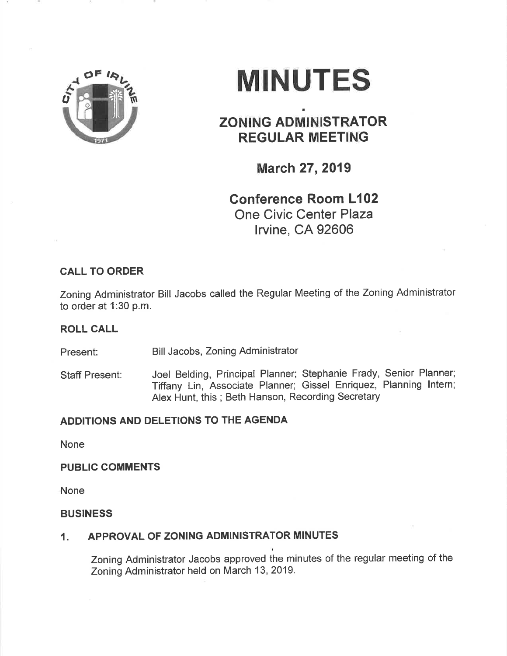

# **MINUTES**

# ZONING ADMINISTRATOR REGULAR MEETING

a

March 27, 2019

# Conference Room L102 One Civic Center Plaza lrvine, CA 92606

# CALL TO ORDER

Zoning Administrator Bill Jacobs called the Regular Meeting of the Zoning Administrator to order at 1:30 p.m.

## ROLL CALL

Present: Bill Jacobs, Zoning Administrator

Staff Present: Joel Belding, Principal Planner; Stephanie Frady, Senior Planner; Tiffany Lin, Associate Planner; Gissel Enriquez, Planning lntern; Alex Hunt, this; Beth Hanson, Recording Secretary

# ADDITIONS AND DELETIONS TO THE AGENDA

None

#### PUBLIC COMMENTS

None

#### BUSINESS

### 1. APPROVAL OF ZONING ADMINISTRATOR MINUTES

Zoning Administrator Jacobs approved the minutes of the regular meeting of the Zoning Administrator held on March 13,2019.